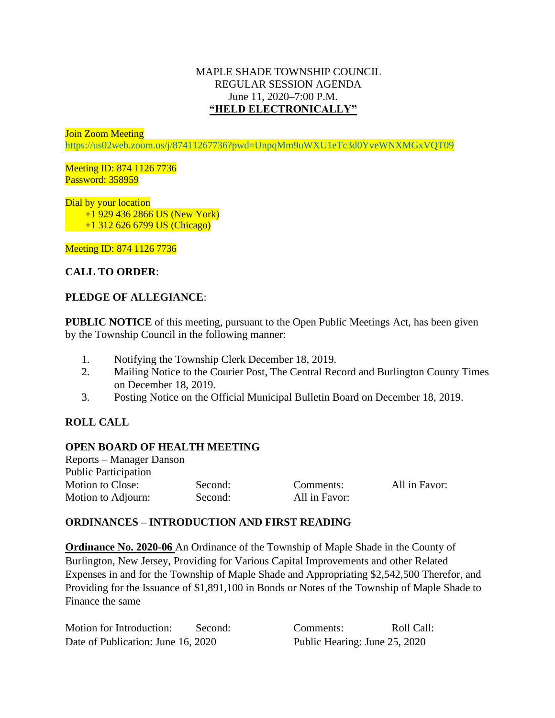## MAPLE SHADE TOWNSHIP COUNCIL REGULAR SESSION AGENDA June 11, 2020–7:00 P.M. **"HELD ELECTRONICALLY"**

Join Zoom Meeting

<https://us02web.zoom.us/j/87411267736?pwd=UnpqMm9uWXU1eTc3d0YveWNXMGxVQT09>

Meeting ID: 874 1126 7736 Password: 358959

Dial by your location +1 929 436 2866 US (New York) +1 312 626 6799 US (Chicago)

Meeting ID: 874 1126 7736

# **CALL TO ORDER**:

## **PLEDGE OF ALLEGIANCE**:

**PUBLIC NOTICE** of this meeting, pursuant to the Open Public Meetings Act, has been given by the Township Council in the following manner:

- 1. Notifying the Township Clerk December 18, 2019.
- 2. Mailing Notice to the Courier Post, The Central Record and Burlington County Times on December 18, 2019.
- 3. Posting Notice on the Official Municipal Bulletin Board on December 18, 2019.

# **ROLL CALL**

#### **OPEN BOARD OF HEALTH MEETING**

Reports – Manager Danson Public Participation Motion to Close: Second: Comments: All in Favor: Motion to Adjourn: Second: All in Favor:

#### **ORDINANCES – INTRODUCTION AND FIRST READING**

**Ordinance No. 2020-06** An Ordinance of the Township of Maple Shade in the County of Burlington, New Jersey, Providing for Various Capital Improvements and other Related Expenses in and for the Township of Maple Shade and Appropriating \$2,542,500 Therefor, and Providing for the Issuance of \$1,891,100 in Bonds or Notes of the Township of Maple Shade to Finance the same

Motion for Introduction: Second: Comments: Roll Call: Date of Publication: June 16, 2020 Public Hearing: June 25, 2020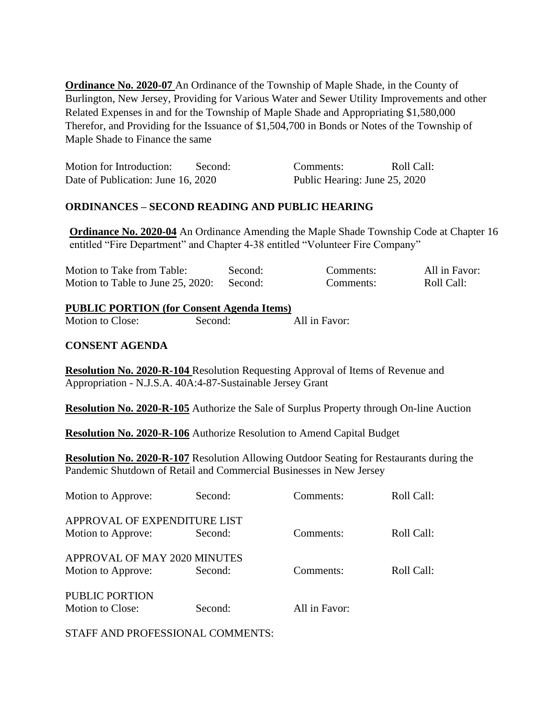**Ordinance No. 2020-07** An Ordinance of the Township of Maple Shade, in the County of Burlington, New Jersey, Providing for Various Water and Sewer Utility Improvements and other Related Expenses in and for the Township of Maple Shade and Appropriating \$1,580,000 Therefor, and Providing for the Issuance of \$1,504,700 in Bonds or Notes of the Township of Maple Shade to Finance the same

| Motion for Introduction:           | Second: | Comments:                     | Roll Call: |
|------------------------------------|---------|-------------------------------|------------|
| Date of Publication: June 16, 2020 |         | Public Hearing: June 25, 2020 |            |

## **ORDINANCES – SECOND READING AND PUBLIC HEARING**

**Ordinance No. 2020-04** An Ordinance Amending the Maple Shade Township Code at Chapter 16 entitled "Fire Department" and Chapter 4-38 entitled "Volunteer Fire Company"

| Motion to Take from Table:        | Second: | Comments: | All in Favor: |
|-----------------------------------|---------|-----------|---------------|
| Motion to Table to June 25, 2020: | Second: | Comments: | Roll Call:    |

# **PUBLIC PORTION (for Consent Agenda Items)**

Motion to Close: Second: All in Favor:

## **CONSENT AGENDA**

**Resolution No. 2020-R-104** Resolution Requesting Approval of Items of Revenue and Appropriation - N.J.S.A. 40A:4-87-Sustainable Jersey Grant

**Resolution No. 2020-R-105** Authorize the Sale of Surplus Property through On-line Auction

**Resolution No. 2020-R-106** Authorize Resolution to Amend Capital Budget

**Resolution No. 2020-R-107** Resolution Allowing Outdoor Seating for Restaurants during the Pandemic Shutdown of Retail and Commercial Businesses in New Jersey

| Motion to Approve:                                 | Second: | Comments:     | Roll Call: |
|----------------------------------------------------|---------|---------------|------------|
| APPROVAL OF EXPENDITURE LIST<br>Motion to Approve: | Second: | Comments:     | Roll Call: |
| APPROVAL OF MAY 2020 MINUTES<br>Motion to Approve: | Second: | Comments:     | Roll Call: |
| PUBLIC PORTION<br>Motion to Close:                 | Second: | All in Favor: |            |

STAFF AND PROFESSIONAL COMMENTS: